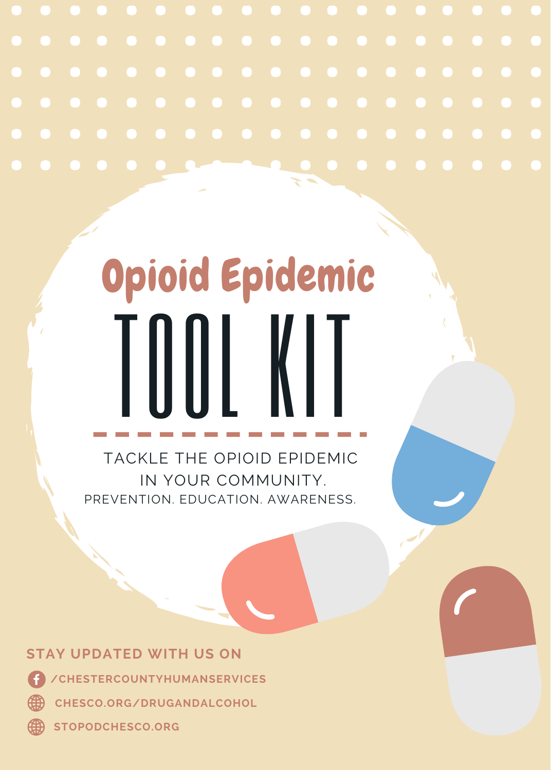

# TOOL KIT Opioid Epidemic

TACKLE THE OPIOID EPIDEMIC IN YOUR COMMUNITY. PREVENTION. EDUCATION. AWARENESS.

**STAY UPDATED WITH US ON**  (4 **/CHESTERCOUNTYHUMANSERVICES**  ௵ **CHESCO.ORG/DRUGANDALCOHOL**

⊕ **STOPODCHESCO.ORG**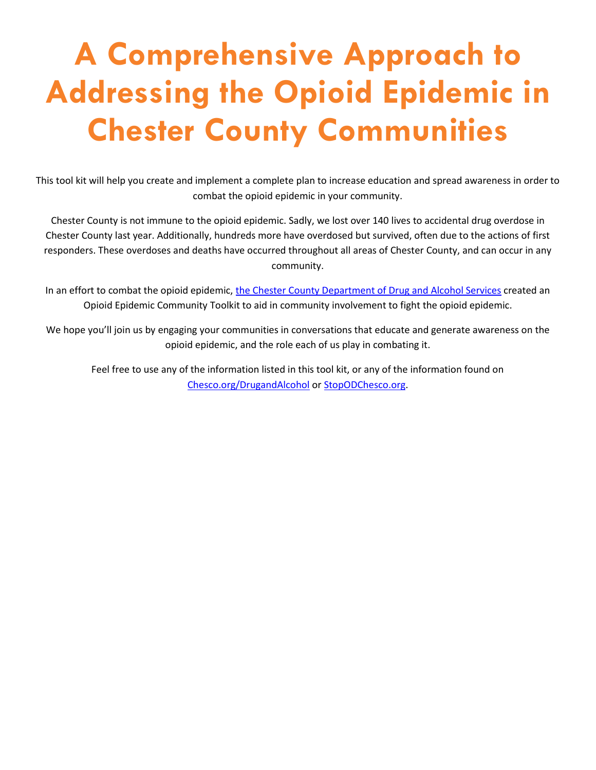# **A Comprehensive Approach to Addressing the Opioid Epidemic in Chester County Communities**

This tool kit will help you create and implement a complete plan to increase education and spread awareness in order to combat the opioid epidemic in your community.

Chester County is not immune to the opioid epidemic. Sadly, we lost over 140 lives to accidental drug overdose in Chester County last year. Additionally, hundreds more have overdosed but survived, often due to the actions of first responders. These overdoses and deaths have occurred throughout all areas of Chester County, and can occur in any community.

In an effort to combat the opioid epidemic, [the Chester County Department of Drug and Alcohol Services](http://chesco.org/216/Drug-and-Alcohol) created an Opioid Epidemic Community Toolkit to aid in community involvement to fight the opioid epidemic.

We hope you'll join us by engaging your communities in conversations that educate and generate awareness on the opioid epidemic, and the role each of us play in combating it.

Feel free to use any of the information listed in this tool kit, or any of the information found on [Chesco.org/DrugandAlcohol](http://chesco.org/216/Drug-and-Alcohol) or [StopODChesco.org.](http://www.stopodchesco.org/)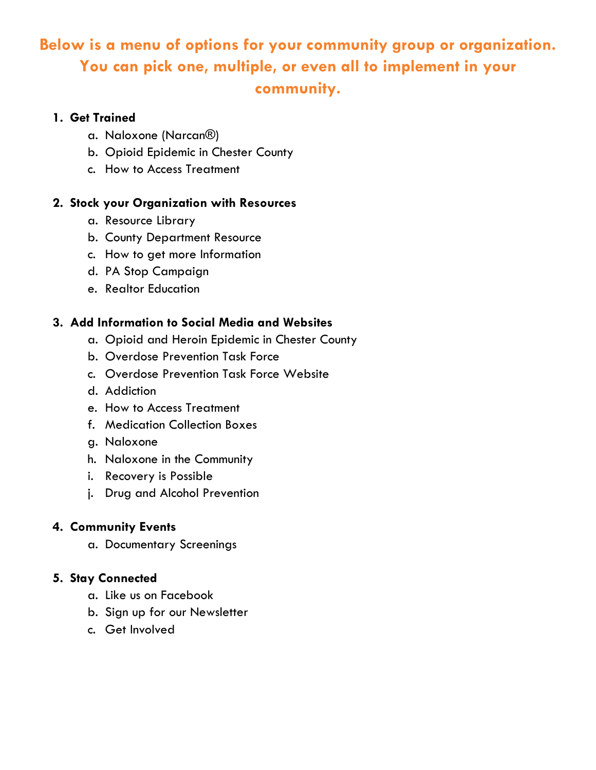# **Below is a menu of options for your community group or organization. You can pick one, multiple, or even all to implement in your community.**

## **1. Get Trained**

- a. [Naloxone \(Narcan®\)](#page-3-0)
- b. [Opioid Epidemic in Chester County](#page-3-0)
- c. [How to Access Treatment](#page-3-0)

# **2. Stock your Organization with Resources**

- a. Resource Library
- b. [County Department Resource](#page-4-0)
- c. [How to get more Information](#page-4-0)
- d. PA Stop Campaign
- e. Realtor Education

# **3. Add Information to Social Media and Websites**

- a. [Opioid and Heroin Epidemic in Chester County](#page-4-0)
- b. [Overdose Prevention Task Force](#page-5-0)
- c. [Overdose Prevention Task Force Website](#page-5-0)
- d. [Addiction](#page-6-0)
- e. [How to Access Treatment](#page-7-0)
- f. [Medication Collection Boxes](#page-7-0)
- g. [Naloxone](#page-8-0)
- h. [Naloxone in the Community](#page-9-0)
- i. [Recovery is Possible](#page-9-0)
- j. [Drug and Alcohol Prevention](#page-9-0)

# **4. Community Events**

a. [Documentary Screenings](#page-10-0)

### **5. Stay Connected**

- a. Like us on Facebook
- b. [Sign up for our Newsletter](#page-10-0)
- c. Get Involved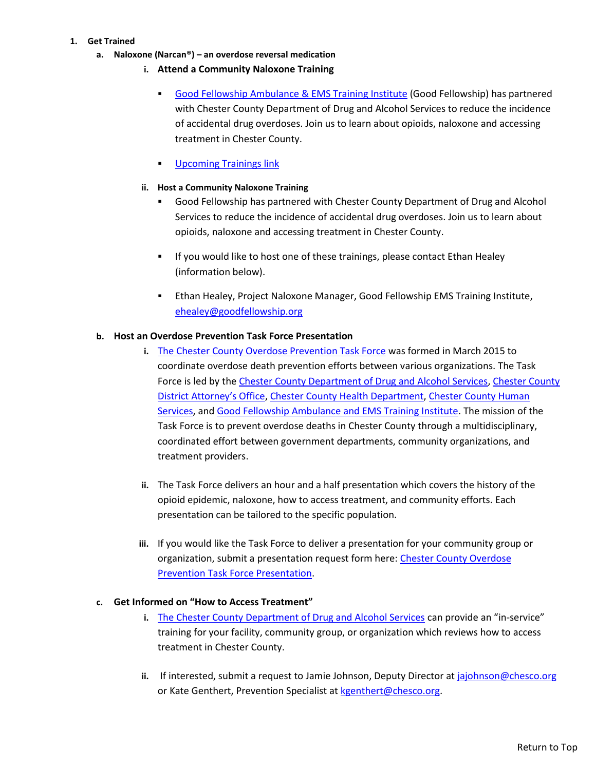#### <span id="page-3-0"></span>**1. Get Trained**

- **a. Naloxone (Narcan®) – an overdose reversal medication**
	- **i. Attend a Community Naloxone Training**
		- [Good Fellowship Ambulance & EMS Training Institute](http://www.goodfellowship.com/communitynaloxone/) (Good Fellowship) has partnered with Chester County Department of Drug and Alcohol Services to reduce the incidence of accidental drug overdoses. Join us to learn about opioids, naloxone and accessing treatment in Chester County.
		- [Upcoming Trainings link](https://stopodchesco.org/naloxone/)

#### **ii. Host a Community Naloxone Training**

- Good Fellowship has partnered with Chester County Department of Drug and Alcohol Services to reduce the incidence of accidental drug overdoses. Join us to learn about opioids, naloxone and accessing treatment in Chester County.
- If you would like to host one of these trainings, please contact Ethan Healey (information below).
- Ethan Healey, Project Naloxone Manager, Good Fellowship EMS Training Institute, [ehealey@goodfellowship.org](mailto:ehealey@goodfellowship.org)

#### **b. Host an Overdose Prevention Task Force Presentation**

- **i.** [The Chester County Overdose Prevention Task Force](http://www.stopodchesco.org/) was formed in March 2015 to coordinate overdose death prevention efforts between various organizations. The Task Force is led by th[e Chester County Department of Drug and Alcohol Services,](http://chesco.org/216/Drug-and-Alcohol) [Chester County](http://www.chesco.org/1441/District-Attorney) [District Attorney's Office](http://www.chesco.org/1441/District-Attorney)[, Chester County Health Department,](http://www.chesco.org/224/Health) [Chester County Human](http://www.chesco.org/226/Human-Services) [Services,](http://www.chesco.org/226/Human-Services) and [Good Fellowship Ambulance and EMS Training Institute.](http://www.goodfellowship.com/) The mission of the Task Force is to prevent overdose deaths in Chester County through a multidisciplinary, coordinated effort between government departments, community organizations, and treatment providers.
- **ii.** The Task Force delivers an hour and a half presentation which covers the history of the opioid epidemic, naloxone, how to access treatment, and community efforts. Each presentation can be tailored to the specific population.
- **iii.** If you would like the Task Force to deliver a presentation for your community group or organization, submit a presentation request form here: [Chester County Overdose](https://stopodchesco.org/presentation-request) [Prevention Task Force Presentation.](https://stopodchesco.org/presentation-request)

#### **c. Get Informed on "How to Access Treatment"**

- **i.** [The Chester County Department of Drug and Alcohol Services](http://chesco.org/216/Drug-and-Alcohol) can provide an "in-service" training for your facility, community group, or organization which reviews how to access treatment in Chester County.
- **ii.** If interested, submit a request to Jamie Johnson, Deputy Director a[t jajohnson@chesco.org](mailto:jajohnson@chesco.org) or Kate Genthert, Prevention Specialist at [kgenthert@chesco.org.](file:///C:/Users/kgenthert/AppData/Roaming/Microsoft/Word/kgenthert@chesco.org)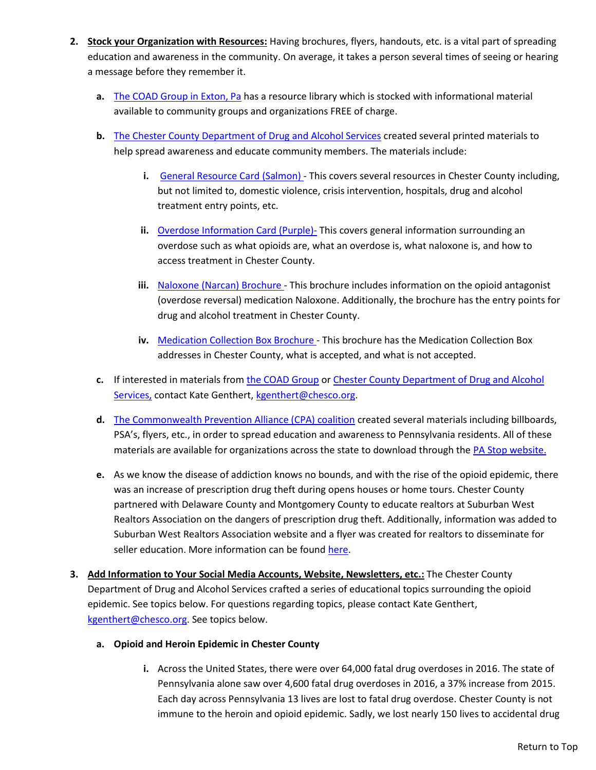- <span id="page-4-0"></span>**2. Stock your Organization with Resources:** Having brochures, flyers, handouts, etc. is a vital part of spreading education and awareness in the community. On average, it takes a person several times of seeing or hearing a message before they remember it.
	- **a.** [The COAD Group in Exton, Pa](http://coadgroup.holcomb-bhs.org/) has a resource library which is stocked with informational material available to community groups and organizations FREE of charge.
	- **b.** [The Chester County Department of Drug and Alcohol Services](http://chesco.org/216/Drug-and-Alcohol) created several printed materials to help spread awareness and educate community members. The materials include:
		- **i.** [General Resource Card \(Salmon\)](../Information%20Dissemination%20Materials/RESOURCE%20CARD%204.2018.pdf) This covers several resources in Chester County including, but not limited to, domestic violence, crisis intervention, hospitals, drug and alcohol treatment entry points, etc.
		- **ii.** [Overdose Information Card \(Purple\)-](../Information%20Dissemination%20Materials/Overdose%20Information%20Card%20purple%204.18.pdf) This covers general information surrounding an overdose such as what opioids are, what an overdose is, what naloxone is, and how to access treatment in Chester County.
		- **iii.** [Naloxone \(Narcan\) Brochure](../Information%20Dissemination%20Materials/Naloxone%20-%2011-2017.pdf) This brochure includes information on the opioid antagonist (overdose reversal) medication Naloxone. Additionally, the brochure has the entry points for drug and alcohol treatment in Chester County.
		- **iv.** [Medication Collection Box Brochure](../Information%20Dissemination%20Materials/Medication%20Collection%20Boxes%20Brochure%204-2017.pdf) This brochure has the Medication Collection Box addresses in Chester County, what is accepted, and what is not accepted.
	- **c.** If interested in materials from [the COAD Group](http://coadgroup.holcomb-bhs.org/) o[r Chester County Department of Drug and Alcohol](http://chesco.org/216/Drug-and-Alcohol) [Services,](http://chesco.org/216/Drug-and-Alcohol) contact Kate Genthert, [kgenthert@chesco.org.](mailto:kgenthert@chesco.org)
	- **d.** [The Commonwealth Prevention Alliance \(CPA\) coalition](https://www.commonwealthpreventionalliance.org/) created several materials including billboards, PSA's, flyers, etc., in order to spread education and awareness to Pennsylvania residents. All of these materials are available for organizations across the state to download through the [PA Stop website.](http://www.pastop.org/)
	- **e.** As we know the disease of addiction knows no bounds, and with the rise of the opioid epidemic, there was an increase of prescription drug theft during opens houses or home tours. Chester County partnered with Delaware County and Montgomery County to educate realtors at Suburban West Realtors Association on the dangers of prescription drug theft. Additionally, information was added to Suburban West Realtors Association website and a flyer was created for realtors to disseminate for seller education. More information can be found [here.](http://swra.co/industry-info-expertise/realtor-safety-and-security/prescription-drug-theft-prevention/)
- **3. Add Information to Your Social Media Accounts, Website, Newsletters, etc.:** The Chester County Department of Drug and Alcohol Services crafted a series of educational topics surrounding the opioid epidemic. See topics below. For questions regarding topics, please contact Kate Genthert, [kgenthert@chesco.org.](mailto:kgenthert@chesco.org) See topics below.

#### **a. Opioid and Heroin Epidemic in Chester County**

**i.** Across the United States, there were over 64,000 fatal drug overdoses in 2016. The state of Pennsylvania alone saw over 4,600 fatal drug overdoses in 2016, a 37% increase from 2015. Each day across Pennsylvania 13 lives are lost to fatal drug overdose. Chester County is not immune to the heroin and opioid epidemic. Sadly, we lost nearly 150 lives to accidental drug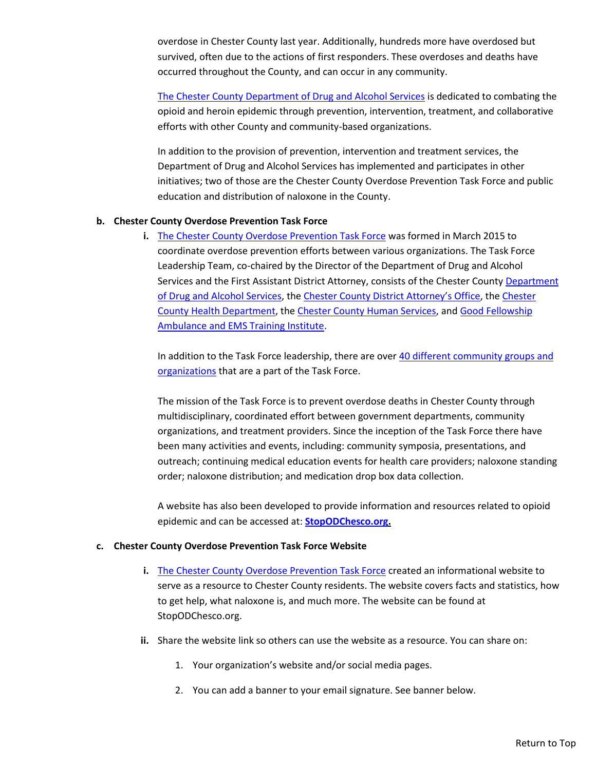<span id="page-5-0"></span>overdose in Chester County last year. Additionally, hundreds more have overdosed but survived, often due to the actions of first responders. These overdoses and deaths have occurred throughout the County, and can occur in any community.

[The Chester County Department of Drug and Alcohol Services](http://chesco.org/216/Drug-and-Alcohol) is dedicated to combating the opioid and heroin epidemic through prevention, intervention, treatment, and collaborative efforts with other County and community-based organizations.

In addition to the provision of prevention, intervention and treatment services, the Department of Drug and Alcohol Services has implemented and participates in other initiatives; two of those are the Chester County Overdose Prevention Task Force and public education and distribution of naloxone in the County.

#### **b. Chester County Overdose Prevention Task Force**

**i.** [The Chester County Overdose Prevention Task Force](http://www.stopodchesco.org/) was formed in March 2015 to coordinate overdose prevention efforts between various organizations. The Task Force Leadership Team, co-chaired by the Director of the Department of Drug and Alcohol Services and the First Assistant District Attorney, consists of the Chester Count[y Department](http://chesco.org/216/Drug-and-Alcohol) [of Drug and Alcohol Services,](http://chesco.org/216/Drug-and-Alcohol) the [Chester County District Attorney's Office](http://www.chesco.org/1441/District-Attorney), the [Chester](http://www.chesco.org/224/Health) [County Health Department,](http://www.chesco.org/224/Health) th[e Chester County Human Services,](http://www.chesco.org/226/Human-Services) an[d Good Fellowship](http://www.goodfellowship.com/) [Ambulance and EMS Training Institute.](http://www.goodfellowship.com/)

In addition to the Task Force leadership, there are over [40 different community groups and](https://stopodchesco.org/partners/) [organizations](https://stopodchesco.org/partners/) that are a part of the Task Force.

The mission of the Task Force is to prevent overdose deaths in Chester County through multidisciplinary, coordinated effort between government departments, community organizations, and treatment providers. Since the inception of the Task Force there have been many activities and events, including: community symposia, presentations, and outreach; continuing medical education events for health care providers; naloxone standing order; naloxone distribution; and medication drop box data collection.

A website has also been developed to provide information and resources related to opioid epidemic and can be accessed at: **[StopODChesco.org.](http://www.stopodchesco.org/)**

#### **c. Chester County Overdose Prevention Task Force Website**

- **i.** [The Chester County Overdose Prevention Task Force](http://www.stopodchesco.org/) created an informational website to serve as a resource to Chester County residents. The website covers facts and statistics, how to get help, what naloxone is, and much more. The website can be found at StopODChesco.org.
- **ii.** Share the website link so others can use the website as a resource. You can share on:
	- 1. Your organization's website and/or social media pages.
	- 2. You can add a banner to your email signature. See banner below.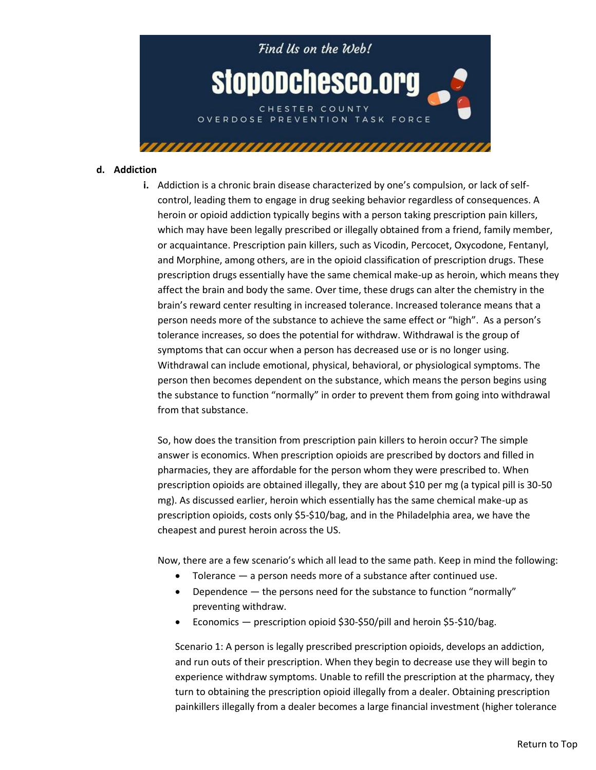<span id="page-6-0"></span>

#### **d. Addiction**

**i.** Addiction is a chronic brain disease characterized by one's compulsion, or lack of selfcontrol, leading them to engage in drug seeking behavior regardless of consequences. A heroin or opioid addiction typically begins with a person taking prescription pain killers, which may have been legally prescribed or illegally obtained from a friend, family member, or acquaintance. Prescription pain killers, such as Vicodin, Percocet, Oxycodone, Fentanyl, and Morphine, among others, are in the opioid classification of prescription drugs. These prescription drugs essentially have the same chemical make-up as heroin, which means they affect the brain and body the same. Over time, these drugs can alter the chemistry in the brain's reward center resulting in increased tolerance. Increased tolerance means that a person needs more of the substance to achieve the same effect or "high". As a person's tolerance increases, so does the potential for withdraw. Withdrawal is the group of symptoms that can occur when a person has decreased use or is no longer using. Withdrawal can include emotional, physical, behavioral, or physiological symptoms. The person then becomes dependent on the substance, which means the person begins using the substance to function "normally" in order to prevent them from going into withdrawal from that substance.

So, how does the transition from prescription pain killers to heroin occur? The simple answer is economics. When prescription opioids are prescribed by doctors and filled in pharmacies, they are affordable for the person whom they were prescribed to. When prescription opioids are obtained illegally, they are about \$10 per mg (a typical pill is 30-50 mg). As discussed earlier, heroin which essentially has the same chemical make-up as prescription opioids, costs only \$5-\$10/bag, and in the Philadelphia area, we have the cheapest and purest heroin across the US.

Now, there are a few scenario's which all lead to the same path. Keep in mind the following:

- Tolerance a person needs more of a substance after continued use.
- Dependence  $-$  the persons need for the substance to function "normally" preventing withdraw.
- Economics prescription opioid \$30-\$50/pill and heroin \$5-\$10/bag.

Scenario 1: A person is legally prescribed prescription opioids, develops an addiction, and run outs of their prescription. When they begin to decrease use they will begin to experience withdraw symptoms. Unable to refill the prescription at the pharmacy, they turn to obtaining the prescription opioid illegally from a dealer. Obtaining prescription painkillers illegally from a dealer becomes a large financial investment (higher tolerance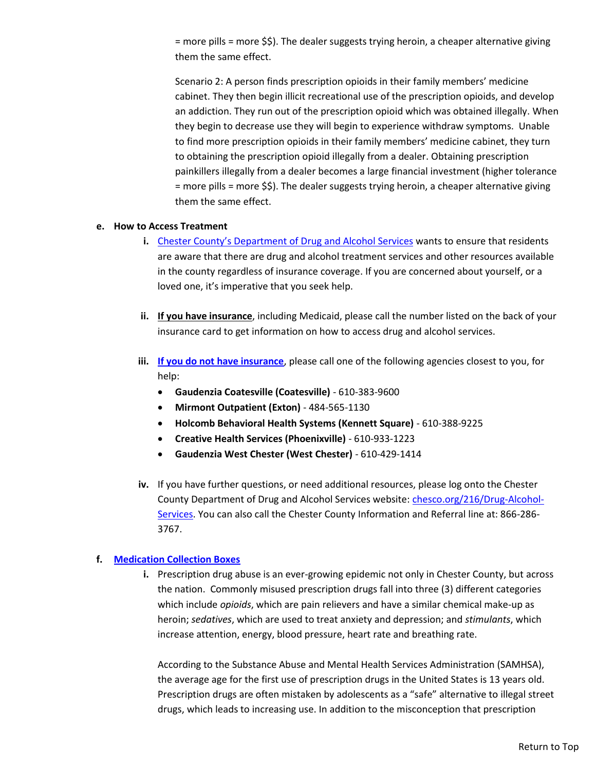<span id="page-7-0"></span>= more pills = more \$\$). The dealer suggests trying heroin, a cheaper alternative giving them the same effect.

Scenario 2: A person finds prescription opioids in their family members' medicine cabinet. They then begin illicit recreational use of the prescription opioids, and develop an addiction. They run out of the prescription opioid which was obtained illegally. When they begin to decrease use they will begin to experience withdraw symptoms. Unable to find more prescription opioids in their family members' medicine cabinet, they turn to obtaining the prescription opioid illegally from a dealer. Obtaining prescription painkillers illegally from a dealer becomes a large financial investment (higher tolerance = more pills = more \$\$). The dealer suggests trying heroin, a cheaper alternative giving them the same effect.

#### **e. How to Access Treatment**

- **i.** [Chester County's Department of Drug and Alcohol Services](http://chesco.org/216/Drug-and-Alcohol) wants to ensure that residents are aware that there are drug and alcohol treatment services and other resources available in the county regardless of insurance coverage. If you are concerned about yourself, or a loved one, it's imperative that you seek help.
- **ii. If you have insurance**, including Medicaid, please call the number listed on the back of your insurance card to get information on how to access drug and alcohol services.
- **iii. [If you do not have insurance](http://chesco.org/2701/Treatment)**, please call one of the following agencies closest to you, for help:
	- **Gaudenzia Coatesville (Coatesville)** 610-383-9600
	- **Mirmont Outpatient (Exton)** 484-565-1130
	- **Holcomb Behavioral Health Systems (Kennett Square)** 610-388-9225
	- **Creative Health Services (Phoenixville)** 610-933-1223
	- **Gaudenzia West Chester (West Chester)** 610-429-1414
- **iv.** If you have further questions, or need additional resources, please log onto the Chester County Department of Drug and Alcohol Services website[: chesco.org/216/Drug-Alcohol-](http://www.chesco.org/216/Drug-Alcohol-Services)[Services.](http://www.chesco.org/216/Drug-Alcohol-Services) You can also call the Chester County Information and Referral line at: 866-286- 3767.

#### **f. [Medication Collection Boxes](http://www.chesco.org/2673/Medication-Drop-Off)**

**i.** Prescription drug abuse is an ever-growing epidemic not only in Chester County, but across the nation. Commonly misused prescription drugs fall into three (3) different categories which include *opioids*, which are pain relievers and have a similar chemical make-up as heroin; *sedatives*, which are used to treat anxiety and depression; and *stimulants*, which increase attention, energy, blood pressure, heart rate and breathing rate.

According to the Substance Abuse and Mental Health Services Administration (SAMHSA), the average age for the first use of prescription drugs in the United States is 13 years old. Prescription drugs are often mistaken by adolescents as a "safe" alternative to illegal street drugs, which leads to increasing use. In addition to the misconception that prescription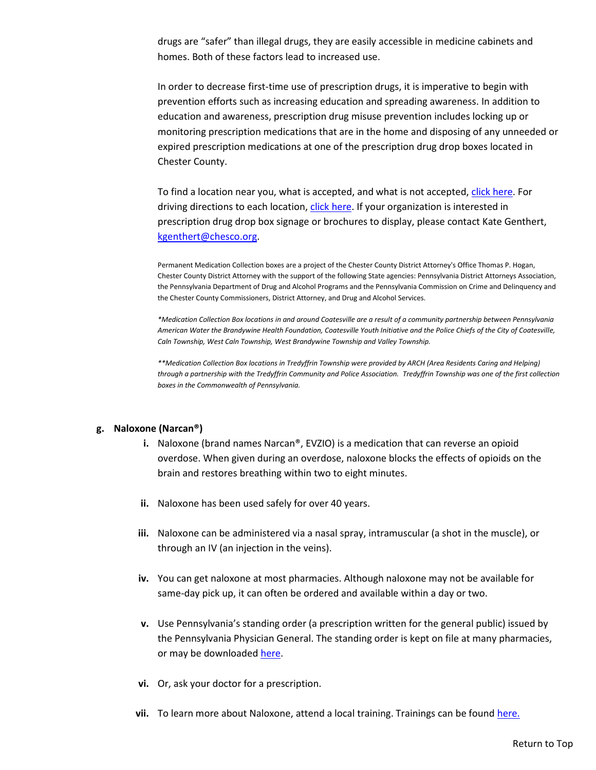<span id="page-8-0"></span>drugs are "safer" than illegal drugs, they are easily accessible in medicine cabinets and homes. Both of these factors lead to increased use.

In order to decrease first-time use of prescription drugs, it is imperative to begin with prevention efforts such as increasing education and spreading awareness. In addition to education and awareness, prescription drug misuse prevention includes locking up or monitoring prescription medications that are in the home and disposing of any unneeded or expired prescription medications at one of the prescription drug drop boxes located in Chester County.

To find a location near you, what is accepted, and what is not accepted[, click here.](https://www.chesco.org/2673/Medication-Drop-Off) For driving directions to each location, [click here.](http://chesco.maps.arcgis.com/apps/webappviewer/index.html?id=fcd6dc4ddfe24b60a17d2009e6d407aa) If your organization is interested in prescription drug drop box signage or brochures to display, please contact Kate Genthert, [kgenthert@chesco.org.](mailto:kgenthert@chesco.org)

Permanent Medication Collection boxes are a project of the Chester County District Attorney's Office Thomas P. Hogan, Chester County District Attorney with the support of the following State agencies: Pennsylvania District Attorneys Association, the Pennsylvania Department of Drug and Alcohol Programs and the Pennsylvania Commission on Crime and Delinquency and the Chester County Commissioners, District Attorney, and Drug and Alcohol Services.

*\*Medication Collection Box locations in and around Coatesville are a result of a community partnership between Pennsylvania American Water the Brandywine Health Foundation, Coatesville Youth Initiative and the Police Chiefs of the City of Coatesville, Caln Township, West Caln Township, West Brandywine Township and Valley Township.*

*\*\*Medication Collection Box locations in Tredyffrin Township were provided by ARCH (Area Residents Caring and Helping) through a partnership with the Tredyffrin Community and Police Association. Tredyffrin Township was one of the first collection boxes in the Commonwealth of Pennsylvania.* 

#### **g. Naloxone (Narcan®)**

- **i.** Naloxone (brand names Narcan®, EVZIO) is a medication that can reverse an opioid overdose. When given during an overdose, naloxone blocks the effects of opioids on the brain and restores breathing within two to eight minutes.
- **ii.** Naloxone has been used safely for over 40 years.
- **iii.** Naloxone can be administered via a nasal spray, intramuscular (a shot in the muscle), or through an IV (an injection in the veins).
- **iv.** You can get naloxone at most pharmacies. Although naloxone may not be available for same-day pick up, it can often be ordered and available within a day or two.
- **v.** Use Pennsylvania's standing order (a prescription written for the general public) issued by the Pennsylvania Physician General. The standing order is kept on file at many pharmacies, or may be downloade[d here.](http://www.google.com/url?sa=t&rct=j&q=&esrc=s&source=web&cd=3&ved=0ahUKEwigl7uiwKjZAhWxnOAKHc0eBVsQFgg0MAI&url=http%3A%2F%2Fwww.dos.pa.gov%2FProfessionalLicensing%2FBoardsCommissions%2FDocuments%2FSN%2520-%2520Naloxone%2520Standing%2520Order%2520Prescription%2520Letter%2520to%2520Pharmacists.pdf&usg=AOvVaw1pjvOPizcn6OMeWeR71ZWd)
- **vi.** Or, ask your doctor for a prescription.
- **vii.** To learn more about Naloxone, attend a local training. Trainings can be found [here.](https://stopodchesco.org/naloxone/)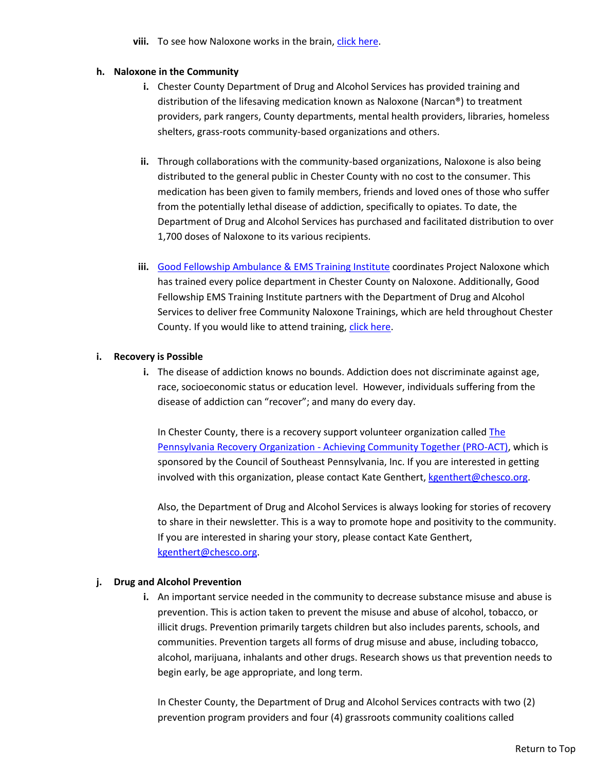viii. To see how Naloxone works in the brain, [click here.](https://stopodchesco.org/naloxone/)

#### <span id="page-9-0"></span>**h. Naloxone in the Community**

- **i.** Chester County Department of Drug and Alcohol Services has provided training and distribution of the lifesaving medication known as Naloxone (Narcan®) to treatment providers, park rangers, County departments, mental health providers, libraries, homeless shelters, grass-roots community-based organizations and others.
- **ii.** Through collaborations with the community-based organizations, Naloxone is also being distributed to the general public in Chester County with no cost to the consumer. This medication has been given to family members, friends and loved ones of those who suffer from the potentially lethal disease of addiction, specifically to opiates. To date, the Department of Drug and Alcohol Services has purchased and facilitated distribution to over 1,700 doses of Naloxone to its various recipients.
- **iii.** [Good Fellowship Ambulance & EMS Training Institute](http://www.goodfellowship.com/community/) coordinates Project Naloxone which has trained every police department in Chester County on Naloxone. Additionally, Good Fellowship EMS Training Institute partners with the Department of Drug and Alcohol Services to deliver free Community Naloxone Trainings, which are held throughout Chester County. If you would like to attend training, [click here.](https://stopodchesco.org/naloxone/)

#### **i. Recovery is Possible**

**i.** The disease of addiction knows no bounds. Addiction does not discriminate against age, race, socioeconomic status or education level. However, individuals suffering from the disease of addiction can "recover"; and many do every day.

In Chester County, there is a recovery support volunteer organization calle[d The](https://www.councilsepa.org/programs/pro-act) [Pennsylvania Recovery Organization - Achieving Community Together \(PRO-ACT\),](https://www.councilsepa.org/programs/pro-act) which is sponsored by the Council of Southeast Pennsylvania, Inc. If you are interested in getting involved with this organization, please contact Kate Genthert, [kgenthert@chesco.org.](mailto:kgenthert@chesco.org)

Also, the Department of Drug and Alcohol Services is always looking for stories of recovery to share in their newsletter. This is a way to promote hope and positivity to the community. If you are interested in sharing your story, please contact Kate Genthert, [kgenthert@chesco.org.](mailto:kgenthert@chesco.org)

#### **j. Drug and Alcohol Prevention**

**i.** An important service needed in the community to decrease substance misuse and abuse is prevention. This is action taken to prevent the misuse and abuse of alcohol, tobacco, or illicit drugs. Prevention primarily targets children but also includes parents, schools, and communities. Prevention targets all forms of drug misuse and abuse, including tobacco, alcohol, marijuana, inhalants and other drugs. Research shows us that prevention needs to begin early, be age appropriate, and long term.

In Chester County, the Department of Drug and Alcohol Services contracts with two (2) prevention program providers and four (4) grassroots community coalitions called